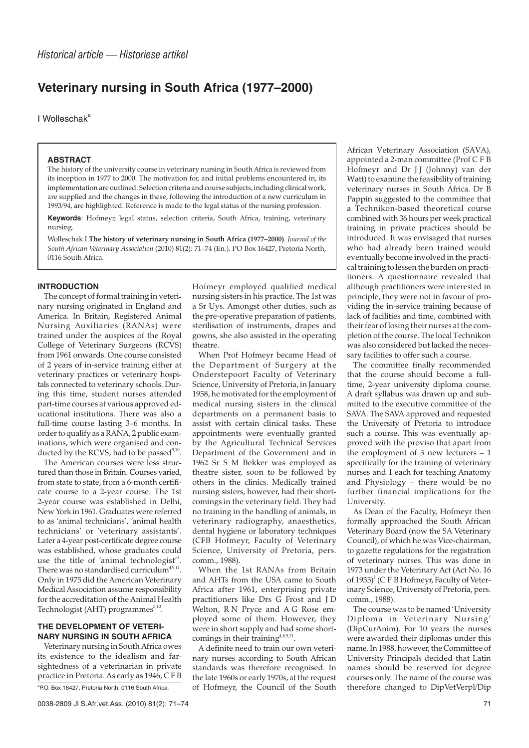# **Veterinary nursing in South Africa (1977–2000)**

I Wolleschak<sup>a</sup>

#### **ABSTRACT**

The history of the university course in veterinary nursing in South Africa is reviewed from its inception in 1977 to 2000. The motivation for, and initial problems encountered in, its implementation are outlined. Selection criteria and course subjects, including clinical work, are supplied and the changes in these, following the introduction of a new curriculum in 1993/94, are highlighted. Reference is made to the legal status of the nursing profession.

**Keywords**: Hofmeyr, legal status, selection criteria, South Africa, training, veterinary nursing.

Wolleschak I **The history of veterinary nursing in South Africa (1977–2000)**. *Journal of the South African Veterinary Association* (2010) 81(2): 71–74 (En.). PO Box 16427, Pretoria North, 0116 South Africa.

# **INTRODUCTION**

The concept of formal training in veterinary nursing originated in England and America. In Britain, Registered Animal Nursing Auxiliaries (RANAs) were trained under the auspices of the Royal College of Veterinary Surgeons (RCVS) from 1961 onwards. One course consisted of 2 years of in-service training either at veterinary practices or veterinary hospitals connected to veterinary schools. During this time, student nurses attended part-time courses at various approved educational institutions. There was also a full-time course lasting 3–6 months. In order to qualify as a RANA, 2 public examinations, which were organised and conducted by the RCVS, had to be passed<sup>9,10</sup>.

The American courses were less structured than those in Britain. Courses varied, from state to state, from a 6-month certificate course to a 2-year course. The 1st 2-year course was established in Delhi, New York in 1961. Graduates were referred to as 'animal technicians', 'animal health technicians' or 'veterinary assistants'. Later a 4-year post-certificate degree course was established, whose graduates could use the title of 'animal technologist'<sup>3</sup>. There was no standardised curriculum<sup>4,9,11</sup>. Only in 1975 did the American Veterinary Medical Association assume responsibility for the accreditation of the Animal Health Technologist (AHT) programmes $5,10$ .

## **THE DEVELOPMENT OF VETERI-NARY NURSING IN SOUTH AFRICA**

Veterinary nursing in South Africa owes its existence to the idealism and farsightedness of a veterinarian in private practice in Pretoria. As early as 1946, CFB

a P.O. Box 16427, Pretoria North, 0116 South Africa.

Hofmeyr employed qualified medical nursing sisters in his practice. The 1st was a Sr Uys. Amongst other duties, such as the pre-operative preparation of patients, sterilisation of instruments, drapes and gowns, she also assisted in the operating theatre.

When Prof Hofmeyr became Head of the Department of Surgery at the Onderstepoort Faculty of Veterinary Science, University of Pretoria, in January 1958, he motivated for the employment of medical nursing sisters in the clinical departments on a permanent basis to assist with certain clinical tasks. These appointments were eventually granted by the Agricultural Technical Services Department of the Government and in 1962 Sr S M Bekker was employed as theatre sister, soon to be followed by others in the clinics. Medically trained nursing sisters, however, had their shortcomings in the veterinary field. They had no training in the handling of animals, in veterinary radiography, anaesthetics, dental hygiene or laboratory techniques (CFB Hofmeyr, Faculty of Veterinary Science, University of Pretoria, pers. comm., 1988).

When the 1st RANAs from Britain and AHTs from the USA came to South Africa after 1961, enterprising private practitioners like Drs G Frost and J D Welton, R N Pryce and A G Rose employed some of them. However, they were in short supply and had some shortcomings in their training $4,8,9,11$ .

A definite need to train our own veterinary nurses according to South African standards was therefore recognised. In the late 1960s or early 1970s, at the request of Hofmeyr, the Council of the South

African Veterinary Association (SAVA), appointed a 2-man committee (Prof C F B Hofmeyr and Dr J J (Johnny) van der Watt) to examine the feasibility of training veterinary nurses in South Africa. Dr B Pappin suggested to the committee that a Technikon-based theoretical course combined with 36 hours per week practical training in private practices should be introduced. It was envisaged that nurses who had already been trained would eventually become involved in the practical training to lessen the burden on practitioners. A questionnaire revealed that although practitioners were interested in principle, they were not in favour of providing the in-service training because of lack of facilities and time, combined with their fear of losing their nurses at the completion of the course. The local Technikon was also considered but lacked the necessary facilities to offer such a course.

The committee finally recommended that the course should become a fulltime, 2-year university diploma course. A draft syllabus was drawn up and submitted to the executive committee of the SAVA. The SAVA approved and requested the University of Pretoria to introduce such a course. This was eventually approved with the proviso that apart from the employment of 3 new lecturers – 1 specifically for the training of veterinary nurses and 1 each for teaching Anatomy and Physiology – there would be no further financial implications for the University.

As Dean of the Faculty, Hofmeyr then formally approached the South African Veterinary Board (now the SA Veterinary Council), of which he was Vice-chairman, to gazette regulations for the registration of veterinary nurses. This was done in 1973 under the Veterinary Act (Act No. 16 of 1933)<sup>1</sup> (C F B Hofmeyr, Faculty of Veterinary Science, University of Pretoria, pers. comm., 1988).

The course was to be named 'University Diploma in Veterinary Nursing' (DipCurAnim). For 10 years the nurses were awarded their diplomas under this name. In 1988, however, the Committee of University Principals decided that Latin names should be reserved for degree courses only. The name of the course was therefore changed to DipVetVerpl/Dip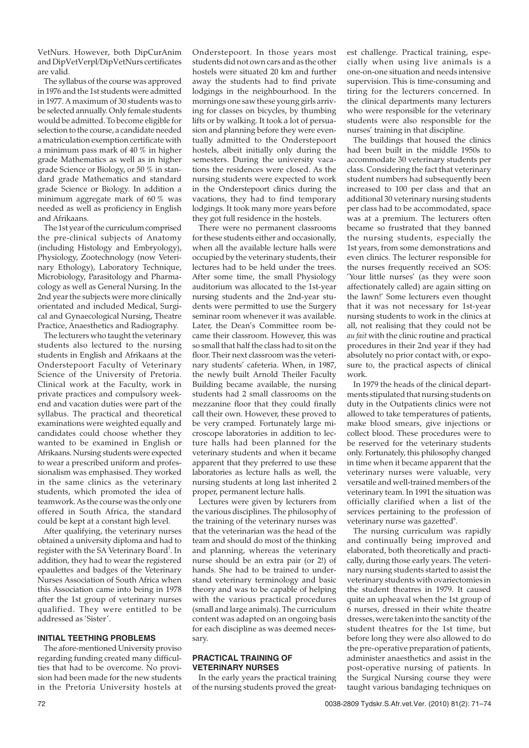VetNurs. However, both DipCurAnim and DipVetVerpl/DipVetNurs certificates are valid.

The syllabus of the course was approved in 1976 and the 1st students were admitted in 1977. A maximum of 30 students was to be selected annually. Only female students would be admitted. To become eligible for selection to the course, a candidate needed a matriculation exemption certificate with a minimum pass mark of 40 % in higher grade Mathematics as well as in higher grade Science or Biology, or 50 % in standard grade Mathematics and standard grade Science or Biology. In addition a minimum aggregate mark of 60 % was needed as well as proficiency in English and Afrikaans.

The 1st year of the curriculum comprised the pre-clinical subjects of Anatomy (including Histology and Embryology), Physiology, Zootechnology (now Veterinary Ethology), Laboratory Technique, Microbiology, Parasitology and Pharmacology as well as General Nursing. In the 2nd year the subjects were more clinically orientated and included Medical, Surgical and Gynaecological Nursing, Theatre Practice, Anaesthetics and Radiography.

The lecturers who taught the veterinary students also lectured to the nursing students in English and Afrikaans at the Onderstepoort Faculty of Veterinary Science of the University of Pretoria. Clinical work at the Faculty, work in private practices and compulsory weekend and vacation duties were part of the syllabus. The practical and theoretical examinations were weighted equally and candidates could choose whether they wanted to be examined in English or Afrikaans. Nursing students were expected to wear a prescribed uniform and professionalism was emphasised. They worked in the same clinics as the veterinary students, which promoted the idea of teamwork. As the course was the only one offered in South Africa, the standard could be kept at a constant high level.

After qualifying, the veterinary nurses obtained a university diploma and had to register with the SA Veterinary Board<sup>1</sup>. In addition, they had to wear the registered epaulettes and badges of the Veterinary Nurses Association of South Africa when this Association came into being in 1978 after the 1st group of veterinary nurses qualified. They were entitled to be addressed as 'Sister'.

# **INITIAL TEETHING PROBLEMS**

The afore-mentioned University proviso regarding funding created many difficulties that had to be overcome. No provision had been made for the new students in the Pretoria University hostels at Onderstepoort. In those years most students did not own cars and as the other hostels were situated 20 km and further away the students had to find private lodgings in the neighbourhood. In the mornings one saw these young girls arriving for classes on bicycles, by thumbing lifts or by walking. It took a lot of persuasion and planning before they were eventually admitted to the Onderstepoort hostels, albeit initially only during the semesters. During the university vacations the residences were closed. As the nursing students were expected to work in the Onderstepoort clinics during the vacations, they had to find temporary lodgings. It took many more years before they got full residence in the hostels.

There were no permanent classrooms for these students either and occasionally, when all the available lecture halls were occupied by the veterinary students, their lectures had to be held under the trees. After some time, the small Physiology auditorium was allocated to the 1st-year nursing students and the 2nd-year students were permitted to use the Surgery seminar room whenever it was available. Later, the Dean's Committee room became their classroom. However, this was so small that half the class had to sit on the floor. Their next classroom was the veterinary students' cafeteria. When, in 1987, the newly built Arnold Theiler Faculty Building became available, the nursing students had 2 small classrooms on the mezzanine floor that they could finally call their own. However, these proved to be very cramped. Fortunately large microscope laboratories in addition to lecture halls had been planned for the veterinary students and when it became apparent that they preferred to use these laboratories as lecture halls as well, the nursing students at long last inherited 2 proper, permanent lecture halls.

Lectures were given by lecturers from the various disciplines. The philosophy of the training of the veterinary nurses was that the veterinarian was the head of the team and should do most of the thinking and planning, whereas the veterinary nurse should be an extra pair (or 2!) of hands. She had to be trained to understand veterinary terminology and basic theory and was to be capable of helping with the various practical procedures (small and large animals). The curriculum content was adapted on an ongoing basis for each discipline as was deemed necessary.

# **PRACTICAL TRAINING OF VETERINARY NURSES**

In the early years the practical training of the nursing students proved the great-

est challenge. Practical training, especially when using live animals is a one-on-one situation and needs intensive supervision. This is time-consuming and tiring for the lecturers concerned. In the clinical departments many lecturers who were responsible for the veterinary students were also responsible for the nurses' training in that discipline.

The buildings that housed the clinics had been built in the middle 1950s to accommodate 30 veterinary students per class. Considering the fact that veterinary student numbers had subsequently been increased to 100 per class and that an additional 30 veterinary nursing students per class had to be accommodated, space was at a premium. The lecturers often became so frustrated that they banned the nursing students, especially the 1st years, from some demonstrations and even clinics. The lecturer responsible for the nurses frequently received an SOS: 'Your little nurses' (as they were soon affectionately called) are again sitting on the lawn!' Some lecturers even thought that it was not necessary for 1st-year nursing students to work in the clinics at all, not realising that they could not be *au fait* with the clinic routine and practical procedures in their 2nd year if they had absolutely no prior contact with, or exposure to, the practical aspects of clinical work.

In 1979 the heads of the clinical departments stipulated that nursing students on duty in the Outpatients clinics were not allowed to take temperatures of patients, make blood smears, give injections or collect blood. These procedures were to be reserved for the veterinary students only. Fortunately, this philosophy changed in time when it became apparent that the veterinary nurses were valuable, very versatile and well-trained members of the veterinary team. In 1991 the situation was officially clarified when a list of the services pertaining to the profession of veterinary nurse was gazetted $6$ .

The nursing curriculum was rapidly and continually being improved and elaborated, both theoretically and practically, during those early years. The veterinary nursing students started to assist the veterinary students with ovariectomies in the student theatres in 1979. It caused quite an upheaval when the 1st group of 6 nurses, dressed in their white theatre dresses, were taken into the sanctity of the student theatres for the 1st time, but before long they were also allowed to do the pre-operative preparation of patients, administer anaesthetics and assist in the post-operative nursing of patients. In the Surgical Nursing course they were taught various bandaging techniques on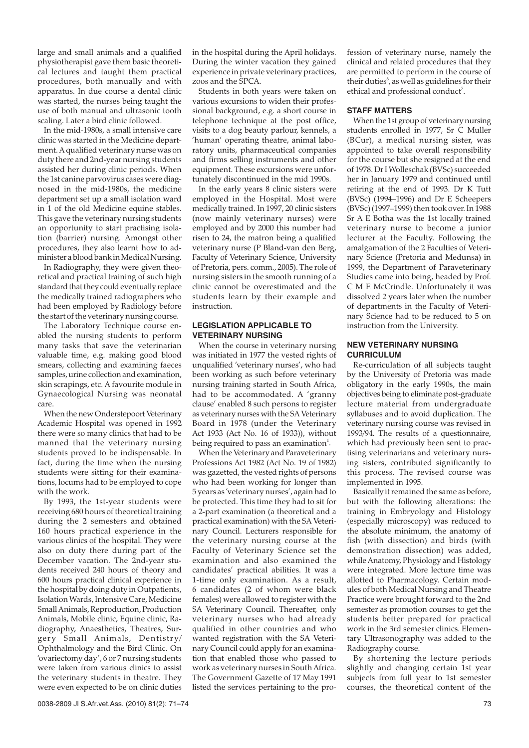large and small animals and a qualified physiotherapist gave them basic theoretical lectures and taught them practical procedures, both manually and with apparatus. In due course a dental clinic was started, the nurses being taught the use of both manual and ultrasonic tooth scaling. Later a bird clinic followed.

In the mid-1980s, a small intensive care clinic was started in the Medicine department. A qualified veterinary nurse was on duty there and 2nd-year nursing students assisted her during clinic periods. When the 1st canine parvovirus cases were diagnosed in the mid-1980s, the medicine department set up a small isolation ward in 1 of the old Medicine equine stables. This gave the veterinary nursing students an opportunity to start practising isolation (barrier) nursing. Amongst other procedures, they also learnt how to administer a blood bank in Medical Nursing.

In Radiography, they were given theoretical and practical training of such high standard that they could eventually replace the medically trained radiographers who had been employed by Radiology before the start of the veterinary nursing course.

The Laboratory Technique course enabled the nursing students to perform many tasks that save the veterinarian valuable time, e.g. making good blood smears, collecting and examining faeces samples, urine collection and examination, skin scrapings, etc. A favourite module in Gynaecological Nursing was neonatal care.

When the new Onderstepoort Veterinary Academic Hospital was opened in 1992 there were so many clinics that had to be manned that the veterinary nursing students proved to be indispensable. In fact, during the time when the nursing students were sitting for their examinations, locums had to be employed to cope with the work.

By 1993, the 1st-year students were receiving 680 hours of theoretical training during the 2 semesters and obtained 160 hours practical experience in the various clinics of the hospital. They were also on duty there during part of the December vacation. The 2nd-year students received 240 hours of theory and 600 hours practical clinical experience in the hospital by doing duty in Outpatients, Isolation Wards, Intensive Care, Medicine Small Animals, Reproduction, Production Animals, Mobile clinic, Equine clinic, Radiography, Anaesthetics, Theatres, Surgery Small Animals, Dentistry/ Ophthalmology and the Bird Clinic. On 'ovariectomy day', 6 or 7 nursing students were taken from various clinics to assist the veterinary students in theatre. They were even expected to be on clinic duties

in the hospital during the April holidays. During the winter vacation they gained experience in private veterinary practices, zoos and the SPCA.

Students in both years were taken on various excursions to widen their professional background, e.g. a short course in telephone technique at the post office, visits to a dog beauty parlour, kennels, a 'human' operating theatre, animal laboratory units, pharmaceutical companies and firms selling instruments and other equipment. These excursions were unfortunately discontinued in the mid 1990s.

In the early years 8 clinic sisters were employed in the Hospital. Most were medically trained. In 1997, 20 clinic sisters (now mainly veterinary nurses) were employed and by 2000 this number had risen to 24, the matron being a qualified veterinary nurse (P Bland-van den Berg, Faculty of Veterinary Science, University of Pretoria, pers. comm., 2005). The role of nursing sisters in the smooth running of a clinic cannot be overestimated and the students learn by their example and instruction.

# **LEGISLATION APPLICABLE TO VETERINARY NURSING**

When the course in veterinary nursing was initiated in 1977 the vested rights of unqualified 'veterinary nurses', who had been working as such before veterinary nursing training started in South Africa, had to be accommodated. A 'granny clause' enabled 8 such persons to register as veterinary nurses with the SA Veterinary Board in 1978 (under the Veterinary Act 1933 (Act No. 16 of 1933)), without being required to pass an examination $^1$ .

When the Veterinary and Paraveterinary Professions Act 1982 (Act No. 19 of 1982) was gazetted, the vested rights of persons who had been working for longer than 5 years as 'veterinary nurses', again had to be protected. This time they had to sit for a 2-part examination (a theoretical and a practical examination) with the SA Veterinary Council. Lecturers responsible for the veterinary nursing course at the Faculty of Veterinary Science set the examination and also examined the candidates' practical abilities. It was a 1-time only examination. As a result, 6 candidates (2 of whom were black females) were allowed to register with the SA Veterinary Council. Thereafter, only veterinary nurses who had already qualified in other countries and who wanted registration with the SA Veterinary Council could apply for an examination that enabled those who passed to work as veterinary nurses in South Africa. The Government Gazette of 17 May 1991 listed the services pertaining to the profession of veterinary nurse, namely the clinical and related procedures that they are permitted to perform in the course of their duties $^{\circ}$ , as well as guidelines for their ethical and professional conduct<sup>7</sup>.

## **STAFF MATTERS**

When the 1st group of veterinary nursing students enrolled in 1977, Sr C Muller (BCur), a medical nursing sister, was appointed to take overall responsibility for the course but she resigned at the end of 1978. Dr I Wolleschak (BVSc) succeeded her in January 1979 and continued until retiring at the end of 1993. Dr K Tutt (BVSc) (1994–1996) and Dr E Scheepers (BVSc) (1997–1999) then took over. In 1988 Sr A E Botha was the 1st locally trained veterinary nurse to become a junior lecturer at the Faculty. Following the amalgamation of the 2 Faculties of Veterinary Science (Pretoria and Medunsa) in 1999, the Department of Paraveterinary Studies came into being, headed by Prof. C M E McCrindle. Unfortunately it was dissolved 2 years later when the number of departments in the Faculty of Veterinary Science had to be reduced to 5 on instruction from the University.

# **NEW VETERINARY NURSING CURRICULUM**

Re-curriculation of all subjects taught by the University of Pretoria was made obligatory in the early 1990s, the main objectives being to eliminate post-graduate lecture material from undergraduate syllabuses and to avoid duplication. The veterinary nursing course was revised in 1993/94. The results of a questionnaire, which had previously been sent to practising veterinarians and veterinary nursing sisters, contributed significantly to this process. The revised course was implemented in 1995.

Basically it remained the same as before, but with the following alterations: the training in Embryology and Histology (especially microscopy) was reduced to the absolute minimum, the anatomy of fish (with dissection) and birds (with demonstration dissection) was added, while Anatomy, Physiology and Histology were integrated. More lecture time was allotted to Pharmacology. Certain modules of both Medical Nursing and Theatre Practice were brought forward to the 2nd semester as promotion courses to get the students better prepared for practical work in the 3rd semester clinics. Elementary Ultrasonography was added to the Radiography course.

By shortening the lecture periods slightly and changing certain 1st year subjects from full year to 1st semester courses, the theoretical content of the